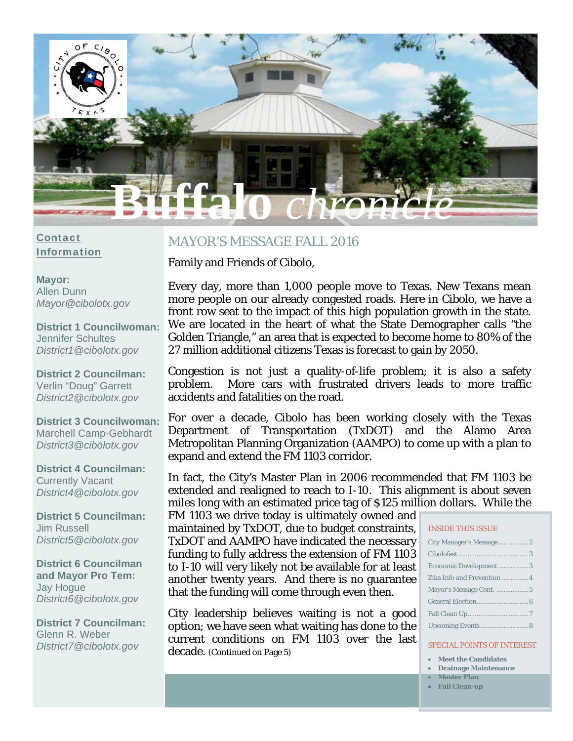

#### Contact Information

**Mayor:**  Allen Dunn *Mayor@cibolotx.gov* 

**District 1 Councilwoman:**  Jennifer Schultes *District1@cibolotx.gov* 

**District 2 Councilman:**  Verlin "Doug" Garrett *District2@cibolotx.gov* 

**District 3 Councilwoman:**  Marchell Camp-Gebhardt *District3@cibolotx.gov* 

**District 4 Councilman:**  Currently Vacant *District4@cibolotx.gov* 

**District 5 Councilman:**  Jim Russell *District5@cibolotx.gov* 

**District 6 Councilman and Mayor Pro Tem:**  Jay Hogue *District6@cibolotx.gov* 

**District 7 Councilman:**  Glenn R. Weber *District7@cibolotx.gov*

## MAYOR'S MESSAGE FALL 2016

Family and Friends of Cibolo,

Every day, more than 1,000 people move to Texas. New Texans mean more people on our already congested roads. Here in Cibolo, we have a front row seat to the impact of this high population growth in the state. We are located in the heart of what the State Demographer calls "the Golden Triangle," an area that is expected to become home to 80% of the 27 million additional citizens Texas is forecast to gain by 2050.

Congestion is not just a quality-of-life problem; it is also a safety problem. More cars with frustrated drivers leads to more traffic accidents and fatalities on the road.

For over a decade, Cibolo has been working closely with the Texas Department of Transportation (TxDOT) and the Alamo Area Metropolitan Planning Organization (AAMPO) to come up with a plan to expand and extend the FM 1103 corridor.

In fact, the City's Master Plan in 2006 recommended that FM 1103 be extended and realigned to reach to I-10. This alignment is about seven miles long with an estimated price tag of \$125 million dollars. While the

FM 1103 we drive today is ultimately owned and maintained by TxDOT, due to budget constraints, TxDOT and AAMPO have indicated the necessary funding to fully address the extension of FM 1103 to I-10 will very likely not be available for at least another twenty years. And there is no guarantee that the funding will come through even then.

City leadership believes waiting is not a good option; we have seen what waiting has done to the current conditions on FM 1103 over the last decade. (Continued on Page 5)

#### INSIDE THIS ISSUE

| Economic Development3       |
|-----------------------------|
| Zika Info and Prevention  4 |
| Mayor's Message Cont. 5     |
|                             |
|                             |
|                             |

#### SPECIAL POINTS OF INTEREST

- **Meet the Candidates**
- **Drainage Maintenance Master Plan**
- **Fall Clean-up**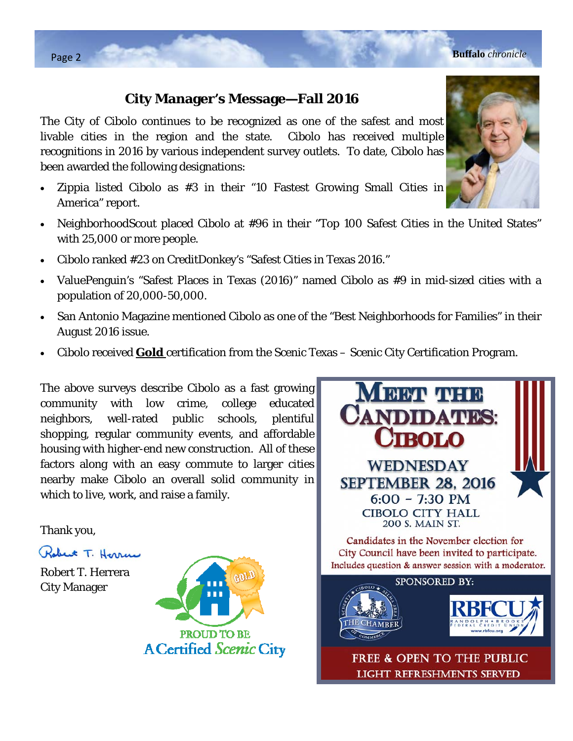## **City Manager's Message—Fall 2016**

The City of Cibolo continues to be recognized as one of the safest and most livable cities in the region and the state. Cibolo has received multiple recognitions in 2016 by various independent survey outlets. To date, Cibolo has been awarded the following designations:

- Zippia listed Cibolo as #3 in their "10 Fastest Growing Small Cities in America" report.
- NeighborhoodScout placed Cibolo at #96 in their "Top 100 Safest Cities in the United States" with 25,000 or more people.
- Cibolo ranked #23 on CreditDonkey's "Safest Cities in Texas 2016."
- ValuePenguin's "Safest Places in Texas (2016)" named Cibolo as #9 in mid-sized cities with a population of 20,000-50,000.
- San Antonio Magazine mentioned Cibolo as one of the "Best Neighborhoods for Families" in their August 2016 issue.
- Cibolo received **Gold** certification from the Scenic Texas Scenic City Certification Program.

The above surveys describe Cibolo as a fast growing community with low crime, college educated neighbors, well-rated public schools, plentiful shopping, regular community events, and affordable housing with higher-end new construction. All of these factors along with an easy commute to larger cities nearby make Cibolo an overall solid community in which to live, work, and raise a family.

Thank you,

Robert T. Herran

Robert T. Herrera City Manager





**LIGHT REFRESHMENTS SERVED** 

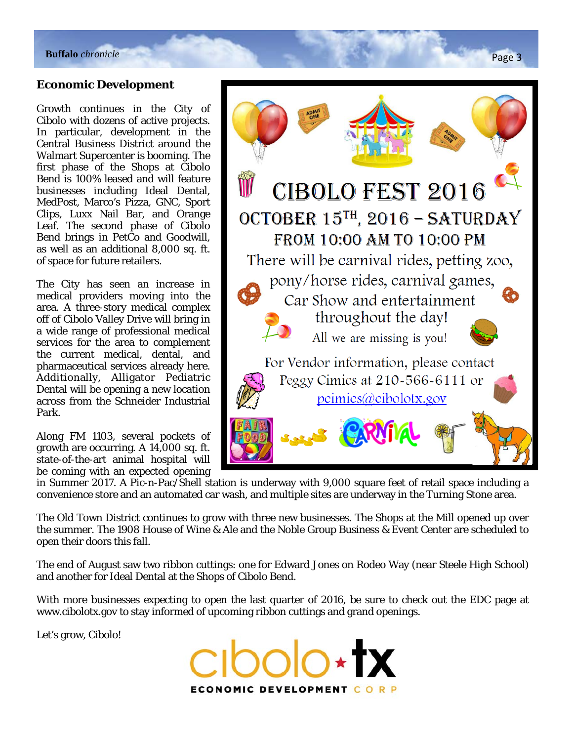## **Economic Development**

Growth continues in the City of Cibolo with dozens of active projects. In particular, development in the Central Business District around the Walmart Supercenter is booming. The first phase of the Shops at Cibolo Bend is 100% leased and will feature businesses including Ideal Dental, MedPost, Marco's Pizza, GNC, Sport Clips, Luxx Nail Bar, and Orange Leaf. The second phase of Cibolo Bend brings in PetCo and Goodwill, as well as an additional 8,000 sq. ft. of space for future retailers.

The City has seen an increase in medical providers moving into the area. A three-story medical complex off of Cibolo Valley Drive will bring in a wide range of professional medical services for the area to complement the current medical, dental, and pharmaceutical services already here. Additionally, Alligator Pediatric Dental will be opening a new location across from the Schneider Industrial Park.

Along FM 1103, several pockets of growth are occurring. A 14,000 sq. ft. state-of-the-art animal hospital will be coming with an expected opening

**CIBOLO FEST 2016** OCTOBER 15<sup>TH</sup>, 2016 - SATURDAY FROM 10:00 AM TO 10:00 PM There will be carnival rides, petting zoo, pony/horse rides, carnival games, Car Show and entertainment throughout the day! All we are missing is you! For Vendor information, please contact Peggy Cimics at 210-566-6111 or  $\text{pcmics}(a)\text{cibolotx.gov}$ 

in Summer 2017. A Pic-n-Pac/Shell station is underway with 9,000 square feet of retail space including a convenience store and an automated car wash, and multiple sites are underway in the Turning Stone area.

The Old Town District continues to grow with three new businesses. The Shops at the Mill opened up over the summer. The 1908 House of Wine & Ale and the Noble Group Business & Event Center are scheduled to open their doors this fall.

The end of August saw two ribbon cuttings: one for Edward Jones on Rodeo Way (near Steele High School) and another for Ideal Dental at the Shops of Cibolo Bend.

With more businesses expecting to open the last quarter of 2016, be sure to check out the EDC page at www.cibolotx.gov to stay informed of upcoming ribbon cuttings and grand openings.

Let's grow, Cibolo!

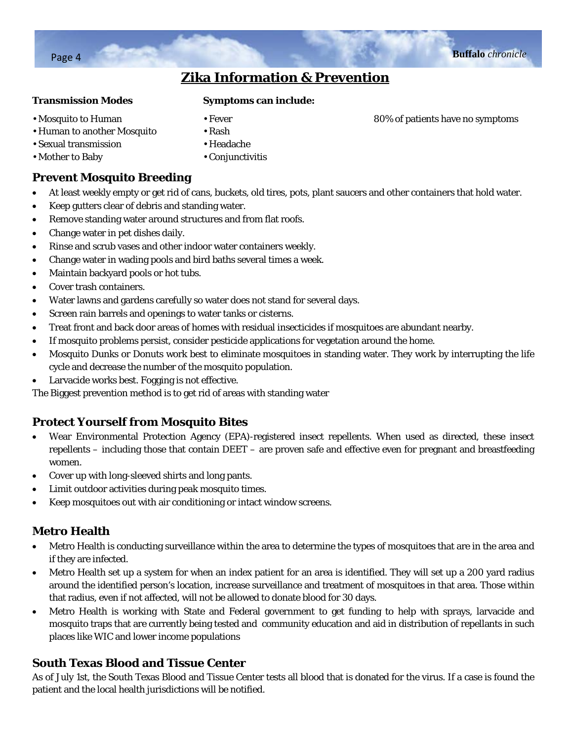# **Zika Information & Prevention**

#### **Transmission Modes**

#### **Symptoms can include:**

- Mosquito to Human
- Human to another Mosquito
- Sexual transmission
- Mother to Baby

• Headache

• Fever • Rash

• Conjunctivitis

## **Prevent Mosquito Breeding**

- At least weekly empty or get rid of cans, buckets, old tires, pots, plant saucers and other containers that hold water.
- Keep gutters clear of debris and standing water.
- Remove standing water around structures and from flat roofs.
- Change water in pet dishes daily.
- Rinse and scrub vases and other indoor water containers weekly.
- Change water in wading pools and bird baths several times a week.
- Maintain backyard pools or hot tubs.
- Cover trash containers.
- Water lawns and gardens carefully so water does not stand for several days.
- Screen rain barrels and openings to water tanks or cisterns.
- Treat front and back door areas of homes with residual insecticides if mosquitoes are abundant nearby.
- If mosquito problems persist, consider pesticide applications for vegetation around the home.
- Mosquito Dunks or Donuts work best to eliminate mosquitoes in standing water. They work by interrupting the life cycle and decrease the number of the mosquito population.
- Larvacide works best. Fogging is not effective.

The Biggest prevention method is to get rid of areas with standing water

## **Protect Yourself from Mosquito Bites**

- Wear Environmental Protection Agency (EPA)-registered insect repellents. When used as directed, these insect repellents – including those that contain DEET – are proven safe and effective even for pregnant and breastfeeding women.
- Cover up with long-sleeved shirts and long pants.
- Limit outdoor activities during peak mosquito times.
- Keep mosquitoes out with air conditioning or intact window screens.

## **Metro Health**

- Metro Health is conducting surveillance within the area to determine the types of mosquitoes that are in the area and if they are infected.
- Metro Health set up a system for when an index patient for an area is identified. They will set up a 200 yard radius around the identified person's location, increase surveillance and treatment of mosquitoes in that area. Those within that radius, even if not affected, will not be allowed to donate blood for 30 days.
- Metro Health is working with State and Federal government to get funding to help with sprays, larvacide and mosquito traps that are currently being tested and community education and aid in distribution of repellants in such places like WIC and lower income populations

## **South Texas Blood and Tissue Center**

As of July 1st, the South Texas Blood and Tissue Center tests all blood that is donated for the virus. If a case is found the patient and the local health jurisdictions will be notified.

80% of patients have no symptoms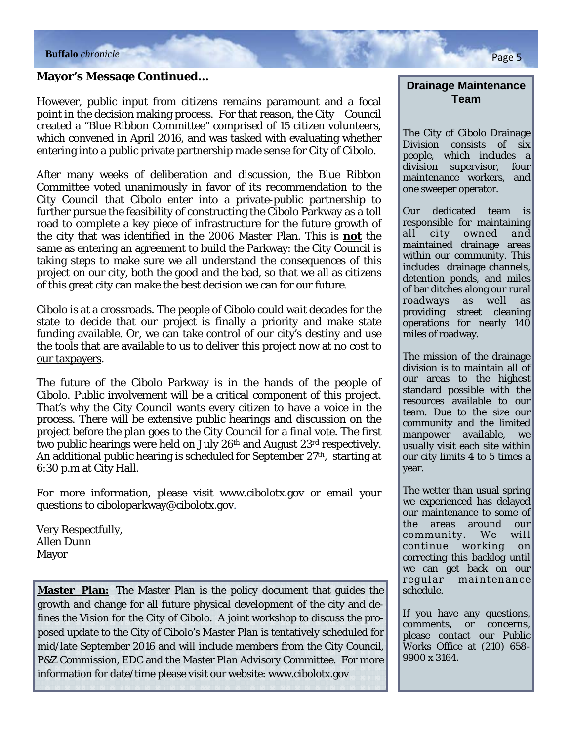## **Mayor's Message Continued…**

However, public input from citizens remains paramount and a focal point in the decision making process. For that reason, the City Council created a "Blue Ribbon Committee" comprised of 15 citizen volunteers, which convened in April 2016, and was tasked with evaluating whether entering into a public private partnership made sense for City of Cibolo.

After many weeks of deliberation and discussion, the Blue Ribbon Committee voted unanimously in favor of its recommendation to the City Council that Cibolo enter into a private-public partnership to further pursue the feasibility of constructing the Cibolo Parkway as a toll road to complete a key piece of infrastructure for the future growth of the city that was identified in the 2006 Master Plan. This is **not** the same as entering an agreement to build the Parkway: the City Council is taking steps to make sure we all understand the consequences of this project on our city, both the good and the bad, so that we all as citizens of this great city can make the best decision we can for our future.

Cibolo is at a crossroads. The people of Cibolo could wait decades for the state to decide that our project is finally a priority and make state funding available. Or, we can take control of our city's destiny and use the tools that are available to us to deliver this project now at no cost to our taxpayers.

The future of the Cibolo Parkway is in the hands of the people of Cibolo. Public involvement will be a critical component of this project. That's why the City Council wants every citizen to have a voice in the process. There will be extensive public hearings and discussion on the project before the plan goes to the City Council for a final vote. The first two public hearings were held on July 26th and August 23rd respectively. An additional public hearing is scheduled for September  $27<sup>th</sup>$ , starting at 6:30 p.m at City Hall.

For more information, please visit www.cibolotx.gov or email your questions to ciboloparkway@cibolotx.gov.

Very Respectfully, Allen Dunn Mayor

**Master Plan:** The Master Plan is the policy document that guides the growth and change for all future physical development of the city and defines *the Vision for the City of Cibolo.* A joint workshop to discuss the proposed update to the City of Cibolo's Master Plan is tentatively scheduled for mid/late September 2016 and will include members from the City Council, P&Z Commission, EDC and the Master Plan Advisory Committee. For more information for date/time please visit our website: www.cibolotx.gov

**Drainage Maintenance Team** 

The City of Cibolo Drainage Division consists of six people, which includes a division supervisor, four maintenance workers, and one sweeper operator.

Our dedicated team is responsible for maintaining all city owned and maintained drainage areas within our community. This includes drainage channels, detention ponds, and miles of bar ditches along our rural roadways as well as providing street cleaning operations for nearly 140 miles of roadway.

The mission of the drainage division is to maintain all of our areas to the highest standard possible with the resources available to our team. Due to the size our community and the limited manpower available, we usually visit each site within our city limits 4 to 5 times a year.

The wetter than usual spring we experienced has delayed our maintenance to some of the areas around our community. We will continue working on correcting this backlog until we can get back on our regular maintenance schedule.

If you have any questions, comments, or concerns, please contact our Public Works Office at (210) 658- 9900 x 3164.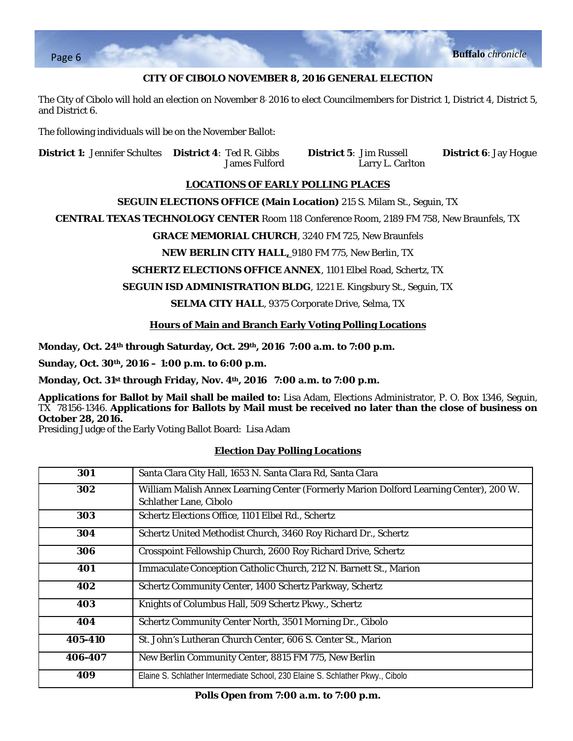

#### **CITY OF CIBOLO NOVEMBER 8, 2016 GENERAL ELECTION**

The City of Cibolo will hold an election on November 8, 2016 to elect Councilmembers for District 1, District 4, District 5, and District 6.

The following individuals will be on the November Ballot:

**District 1:** Jennifer Schultes **District 4**: Ted R. Gibbs **District 5**: Jim Russell **District 6**: Jay Hogue

James Fulford Larry L. Carlton

#### **LOCATIONS OF EARLY POLLING PLACES**

#### **SEGUIN ELECTIONS OFFICE (Main Location)** 215 S. Milam St., Seguin, TX

**CENTRAL TEXAS TECHNOLOGY CENTER** Room 118 Conference Room, 2189 FM 758, New Braunfels, TX

#### **GRACE MEMORIAL CHURCH**, 3240 FM 725, New Braunfels

#### **NEW BERLIN CITY HALL,** 9180 FM 775, New Berlin, TX

#### **SCHERTZ ELECTIONS OFFICE ANNEX**, 1101 Elbel Road, Schertz, TX

#### **SEGUIN ISD ADMINISTRATION BLDG**, 1221 E. Kingsbury St., Seguin, TX

#### **SELMA CITY HALL**, 9375 Corporate Drive, Selma, TX

#### **Hours of Main and Branch Early Voting Polling Locations**

**Monday, Oct. 24th through Saturday, Oct. 29th, 2016 7:00 a.m. to 7:00 p.m.** 

**Sunday, Oct. 30th, 2016 – 1:00 p.m. to 6:00 p.m.** 

**Monday, Oct. 31st through Friday, Nov. 4th, 2016 7:00 a.m. to 7:00 p.m.**

**Applications for Ballot by Mail shall be mailed to:** Lisa Adam, Elections Administrator, P. O. Box 1346, Seguin, TX 78156-1346. **Applications for Ballots by Mail must be received no later than the close of business on October 28, 2016.**

Presiding Judge of the Early Voting Ballot Board: Lisa Adam

#### **Election Day Polling Locations**

| 301     | Santa Clara City Hall, 1653 N. Santa Clara Rd, Santa Clara                                                       |
|---------|------------------------------------------------------------------------------------------------------------------|
| 302     | William Malish Annex Learning Center (Formerly Marion Dolford Learning Center), 200 W.<br>Schlather Lane, Cibolo |
| 303     | Schertz Elections Office, 1101 Elbel Rd., Schertz                                                                |
| 304     | Schertz United Methodist Church, 3460 Roy Richard Dr., Schertz                                                   |
| 306     | Crosspoint Fellowship Church, 2600 Roy Richard Drive, Schertz                                                    |
| 401     | Immaculate Conception Catholic Church, 212 N. Barnett St., Marion                                                |
| 402     | Schertz Community Center, 1400 Schertz Parkway, Schertz                                                          |
| 403     | Knights of Columbus Hall, 509 Schertz Pkwy., Schertz                                                             |
| 404     | Schertz Community Center North, 3501 Morning Dr., Cibolo                                                         |
| 405-410 | St. John's Lutheran Church Center, 606 S. Center St., Marion                                                     |
| 406-407 | New Berlin Community Center, 8815 FM 775, New Berlin                                                             |
| 409     | Elaine S. Schlather Intermediate School, 230 Elaine S. Schlather Pkwy., Cibolo                                   |

**Polls Open from 7:00 a.m. to 7:00 p.m.**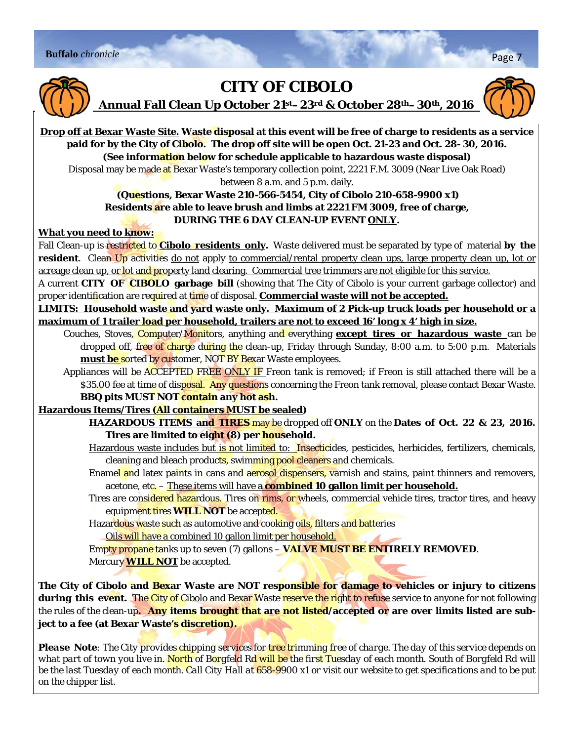



# **CITY OF CIBOLO**

**Annual Fall Clean Up October 21st–23rd & October 28th–30th, 2016** 



**Drop off at Bexar Waste Site. Waste disposal at this event will be free of charge to residents as a service paid for by the City of Cibolo. The drop off site will be open Oct. 21-23 and Oct. 28- 30, 2016. (See information below for schedule applicable to hazardous waste disposal)** 

Disposal may be made at Bexar Waste's temporary collection point, 2221 F.M. 3009 (Near Live Oak Road) between 8 a.m. and 5 p.m. daily.

## **(Questions, Bexar Waste 210-566-5454, City of Cibolo 210-658-9900 x1) Residents are able to leave brush and limbs at 2221 FM 3009, free of charge, DURING THE 6 DAY CLEAN-UP EVENT ONLY.**

### **What you need to know:**

Fall Clean-up is restricted to **Cibolo residents only.** Waste delivered must be separated by type of material **by the resident**. Clean Up activities do not apply to commercial/rental property clean ups, large property clean up, lot or acreage clean up, or lot and property land clearing. Commercial tree trimmers are not eligible for this service.

A current **CITY OF CIBOLO garbage bill** (showing that The City of Cibolo is your current garbage collector) and proper identification are required at time of disposal. **Commercial waste will not be accepted.**

**LIMITS: Household waste and yard waste only. Maximum of 2 Pick-up truck loads per household or a maximum of 1 trailer load per household, trailers are not to exceed 16' long x 4' high in size.** 

Couches, Stoves, Computer/Monitors, anything and everything **except tires or hazardous waste** can be dropped off, free of charge during the clean-up, Friday through Sunday, 8:00 a.m. to 5:00 p.m. Materials **must be** sorted by customer, NOT BY Bexar Waste employees.

Appliances will be ACCEPTED FREE ONLY IF Freon tank is removed; if Freon is still attached there will be a \$35.00 fee at time of disposal. Any questions concerning the Freon tank removal, please contact Bexar Waste. **BBQ pits MUST NOT contain any hot ash.**

## **Hazardous Items/Tires (All containers MUST be sealed)**

**HAZARDOUS ITEMS and TIRES** may be dropped off **ONLY** on the **Dates of Oct. 22 & 23, 2016. Tires are limited to eight (8) per household.** 

Hazardous waste includes but is not limited to: Insecticides, pesticides, herbicides, fertilizers, chemicals, cleaning and bleach products, swimming pool cleaners and chemicals.

Enamel and latex paints in cans and aerosol dispensers, varnish and stains, paint thinners and removers, acetone, etc. – These items will have a **combined 10 gallon limit per household.**

Tires are considered hazardous. Tires on rims, or wheels, commercial vehicle tires, tractor tires, and heavy equipment tires **WILL NOT** be accepted.

Hazardous waste such as automotive and cooking oils, filters and batteries

Oils will have a combined 10 gallon limit per household.

Empty propane tanks up to seven (7) gallons – **VALVE MUST BE ENTIRELY REMOVED**. Mercury **WILL NOT** be accepted.

**The City of Cibolo and Bexar Waste are NOT responsible for damage to vehicles or injury to citizens during this event.** The City of Cibolo and Bexar Waste reserve the right to refuse service to anyone for not following the rules of the clean-up**. Any items brought that are not listed/accepted or are over limits listed are subject to a fee (at Bexar Waste's discretion).** 

*Please Note: The City provides chipping services for tree trimming free of charge. The day of this service depends on what part of town you live in. North of Borgfeld Rd will be the first Tuesday of each month. South of Borgfeld Rd will be the last Tuesday of each month. Call City Hall at 658-9900 x1 or visit our website to get specifications and to be put on the chipper list.*